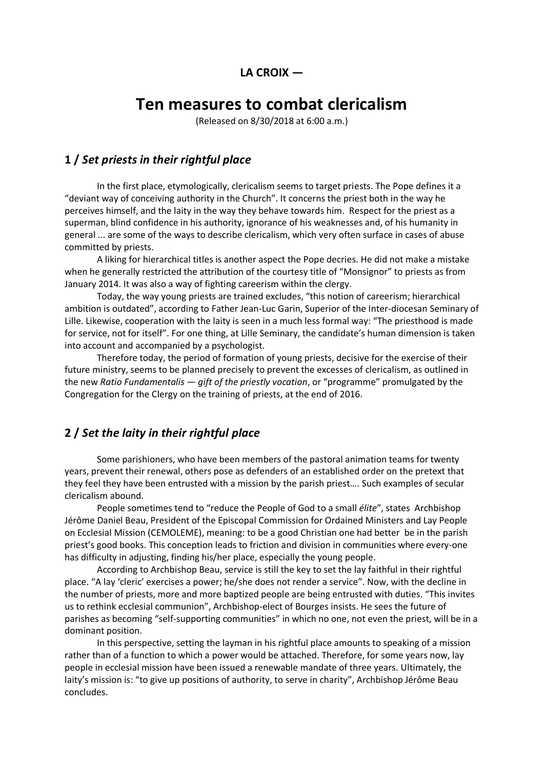# **LA CROIX —**

# **Ten measures to combat clericalism**

(Released on 8/30/2018 at 6:00 a.m.)

# **1 /** *Set priests in their rightful place*

In the first place, etymologically, clericalism seems to target priests. The Pope defines it a "deviant way of conceiving authority in the Church". It concerns the priest both in the way he perceives himself, and the laity in the way they behave towards him. Respect for the priest as a superman, blind confidence in his authority, ignorance of his weaknesses and, of his humanity in general ... are some of the ways to describe clericalism, which very often surface in cases of abuse committed by priests.

A liking for hierarchical titles is another aspect the Pope decries. He did not make a mistake when he generally restricted the attribution of the courtesy title of "Monsignor" to priests as from January 2014. It was also a way of fighting careerism within the clergy.

Today, the way young priests are trained excludes, "this notion of careerism; hierarchical ambition is outdated", according to Father Jean-Luc Garin, Superior of the Inter-diocesan Seminary of Lille. Likewise, cooperation with the laity is seen in a much less formal way: "The priesthood is made for service, not for itself". For one thing, at Lille Seminary, the candidate's human dimension is taken into account and accompanied by a psychologist.

Therefore today, the period of formation of young priests, decisive for the exercise of their future ministry, seems to be planned precisely to prevent the excesses of clericalism, as outlined in the new *Ratio Fundamentalis — gift of the priestly vocation*, or "programme" promulgated by the Congregation for the Clergy on the training of priests, at the end of 2016.

# **2 /** *Set the laity in their rightful place*

Some parishioners, who have been members of the pastoral animation teams for twenty years, prevent their renewal, others pose as defenders of an established order on the pretext that they feel they have been entrusted with a mission by the parish priest…. Such examples of secular clericalism abound.

People sometimes tend to "reduce the People of God to a small *élite*", states Archbishop Jérôme Daniel Beau, President of the Episcopal Commission for Ordained Ministers and Lay People on Ecclesial Mission (CEMOLEME), meaning: to be a good Christian one had better be in the parish priest's good books. This conception leads to friction and division in communities where every-one has difficulty in adjusting, finding his/her place, especially the young people.

According to Archbishop Beau, service is still the key to set the lay faithful in their rightful place. "A lay 'cleric' exercises a power; he/she does not render a service". Now, with the decline in the number of priests, more and more baptized people are being entrusted with duties. "This invites us to rethink ecclesial communion", Archbishop-elect of Bourges insists. He sees the future of parishes as becoming "self-supporting communities" in which no one, not even the priest, will be in a dominant position.

In this perspective, setting the layman in his rightful place amounts to speaking of a mission rather than of a function to which a power would be attached. Therefore, for some years now, lay people in ecclesial mission have been issued a renewable mandate of three years. Ultimately, the laity's mission is: "to give up positions of authority, to serve in charity", Archbishop Jérôme Beau concludes.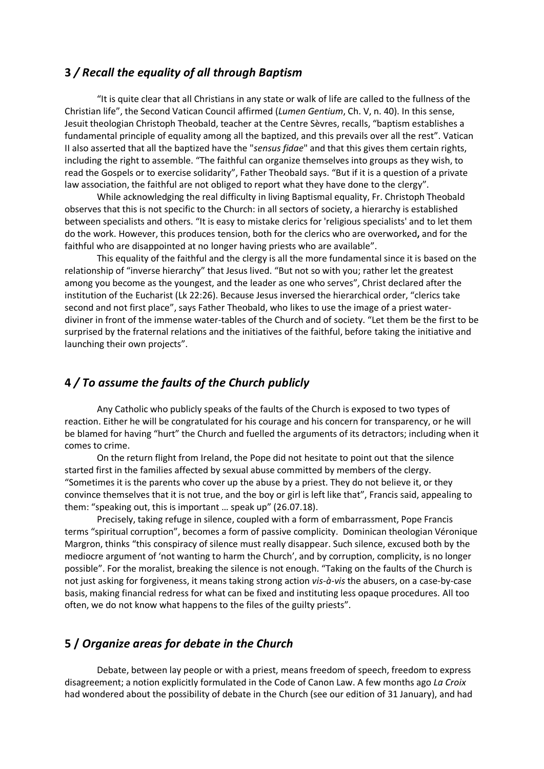# **3** */ Recall the equality of all through Baptism*

"It is quite clear that all Christians in any state or walk of life are called to the fullness of the Christian life", the Second Vatican Council affirmed (*Lumen Gentium*, Ch. V, n. 40). In this sense, Jesuit theologian Christoph Theobald, teacher at the Centre Sèvres, recalls, "baptism establishes a fundamental principle of equality among all the baptized, and this prevails over all the rest". Vatican II also asserted that all the baptized have the "*sensus fidae*" and that this gives them certain rights, including the right to assemble. "The faithful can organize themselves into groups as they wish, to read the Gospels or to exercise solidarity", Father Theobald says. "But if it is a question of a private law association, the faithful are not obliged to report what they have done to the clergy".

While acknowledging the real difficulty in living Baptismal equality, Fr. Christoph Theobald observes that this is not specific to the Church: in all sectors of society, a hierarchy is established between specialists and others. "It is easy to mistake clerics for 'religious specialists' and to let them do the work. However, this produces tension, both for the clerics who are overworked**,** and for the faithful who are disappointed at no longer having priests who are available".

This equality of the faithful and the clergy is all the more fundamental since it is based on the relationship of "inverse hierarchy" that Jesus lived. "But not so with you; rather let the greatest among you become as the youngest, and the leader as one who serves", Christ declared after the institution of the Eucharist (Lk 22:26). Because Jesus inversed the hierarchical order, "clerics take second and not first place", says Father Theobald, who likes to use the image of a priest waterdiviner in front of the immense water-tables of the Church and of society. "Let them be the first to be surprised by the fraternal relations and the initiatives of the faithful, before taking the initiative and launching their own projects".

# **4** */ To assume the faults of the Church publicly*

Any Catholic who publicly speaks of the faults of the Church is exposed to two types of reaction. Either he will be congratulated for his courage and his concern for transparency, or he will be blamed for having "hurt" the Church and fuelled the arguments of its detractors; including when it comes to crime.

On the return flight from Ireland, the Pope did not hesitate to point out that the silence started first in the families affected by sexual abuse committed by members of the clergy. "Sometimes it is the parents who cover up the abuse by a priest. They do not believe it, or they convince themselves that it is not true, and the boy or girl is left like that", Francis said, appealing to them: "speaking out, this is important … speak up" (26.07.18).

Precisely, taking refuge in silence, coupled with a form of embarrassment, Pope Francis terms "spiritual corruption", becomes a form of passive complicity. Dominican theologian Véronique Margron, thinks "this conspiracy of silence must really disappear. Such silence, excused both by the mediocre argument of 'not wanting to harm the Church', and by corruption, complicity, is no longer possible". For the moralist, breaking the silence is not enough. "Taking on the faults of the Church is not just asking for forgiveness, it means taking strong action *vis-à-vis* the abusers, on a case-by-case basis, making financial redress for what can be fixed and instituting less opaque procedures. All too often, we do not know what happens to the files of the guilty priests".

#### **5 /** *Organize areas for debate in the Church*

Debate, between lay people or with a priest, means freedom of speech, freedom to express disagreement; a notion explicitly formulated in the Code of Canon Law. A few months ago *La Croix* had wondered about the possibility of debate in the Church (see our edition of 31 January), and had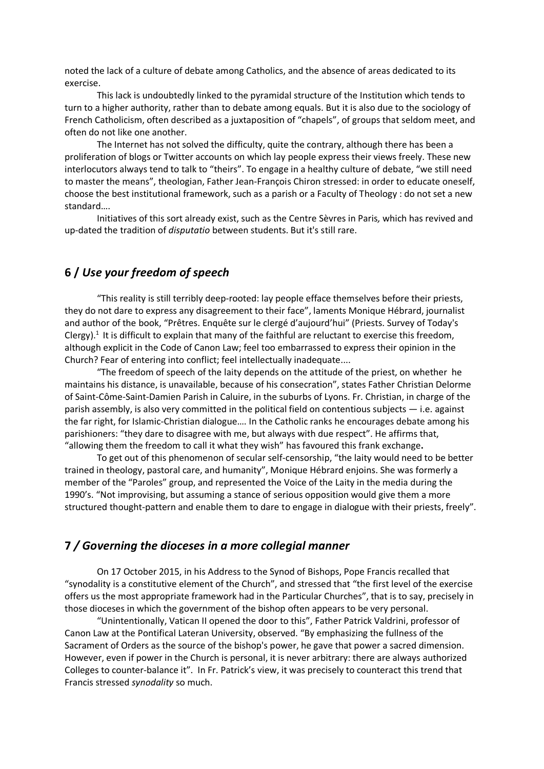noted the lack of a culture of debate among Catholics, and the absence of areas dedicated to its exercise.

This lack is undoubtedly linked to the pyramidal structure of the Institution which tends to turn to a higher authority, rather than to debate among equals. But it is also due to the sociology of French Catholicism, often described as a juxtaposition of "chapels", of groups that seldom meet, and often do not like one another.

The Internet has not solved the difficulty, quite the contrary, although there has been a proliferation of blogs or Twitter accounts on which lay people express their views freely. These new interlocutors always tend to talk to "theirs". To engage in a healthy culture of debate, "we still need to master the means", theologian, Father Jean-François Chiron stressed: in order to educate oneself, choose the best institutional framework, such as a parish or a Faculty of Theology : do not set a new standard….

Initiatives of this sort already exist, such as the Centre Sèvres in Paris*,* which has revived and up-dated the tradition of *disputatio* between students. But it's still rare.

# **6 /** *Use your freedom of speech*

"This reality is still terribly deep-rooted: lay people efface themselves before their priests, they do not dare to express any disagreement to their face", laments Monique Hébrard, journalist and author of the book, "Prêtres. Enquête sur le clergé d'aujourd'hui" (Priests. Survey of Today's Clergy).<sup>1</sup> It is difficult to explain that many of the faithful are reluctant to exercise this freedom, although explicit in the Code of Canon Law; feel too embarrassed to express their opinion in the Church? Fear of entering into conflict; feel intellectually inadequate....

"The freedom of speech of the laity depends on the attitude of the priest, on whether he maintains his distance, is unavailable, because of his consecration", states Father Christian Delorme of Saint-Côme-Saint-Damien Parish in Caluire, in the suburbs of Lyons. Fr. Christian, in charge of the parish assembly, is also very committed in the political field on contentious subjects — i.e. against the far right, for Islamic-Christian dialogue…. In the Catholic ranks he encourages debate among his parishioners: "they dare to disagree with me, but always with due respect". He affirms that, "allowing them the freedom to call it what they wish" has favoured this frank exchange**.** 

To get out of this phenomenon of secular self-censorship, "the laity would need to be better trained in theology, pastoral care, and humanity", Monique Hébrard enjoins. She was formerly a member of the "Paroles" group, and represented the Voice of the Laity in the media during the 1990's. "Not improvising, but assuming a stance of serious opposition would give them a more structured thought-pattern and enable them to dare to engage in dialogue with their priests, freely".

#### **7** */ Governing the dioceses in a more collegial manner*

On 17 October 2015, in his Address to the Synod of Bishops, Pope Francis recalled that "synodality is a constitutive element of the Church", and stressed that "the first level of the exercise offers us the most appropriate framework had in the Particular Churches", that is to say, precisely in those dioceses in which the government of the bishop often appears to be very personal.

"Unintentionally, Vatican II opened the door to this", Father Patrick Valdrini, professor of Canon Law at the Pontifical Lateran University, observed. "By emphasizing the fullness of the Sacrament of Orders as the source of the bishop's power, he gave that power a sacred dimension. However, even if power in the Church is personal, it is never arbitrary: there are always authorized Colleges to counter-balance it". In Fr. Patrick's view, it was precisely to counteract this trend that Francis stressed *synodality* so much.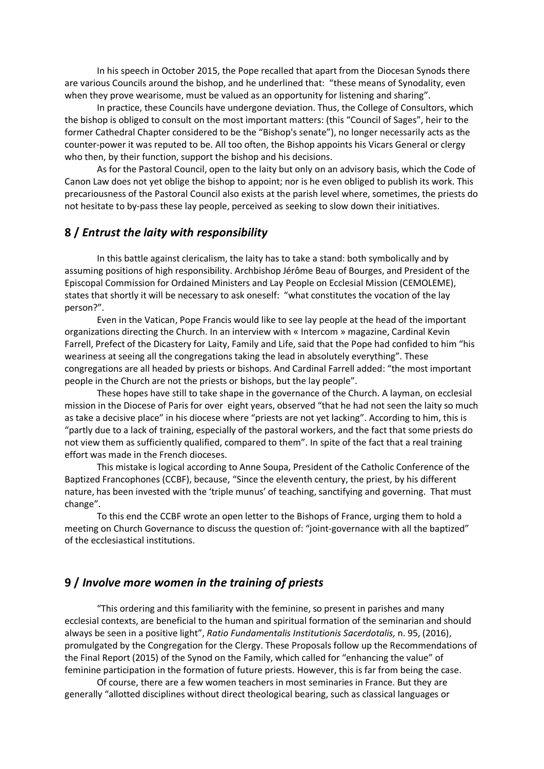In his speech in October 2015, the Pope recalled that apart from the Diocesan Synods there are various Councils around the bishop, and he underlined that: "these means of Synodality, even when they prove wearisome, must be valued as an opportunity for listening and sharing".

In practice, these Councils have undergone deviation. Thus, the College of Consultors, which the bishop is obliged to consult on the most important matters: (this "Council of Sages", heir to the former Cathedral Chapter considered to be the "Bishop's senate"), no longer necessarily acts as the counter-power it was reputed to be. All too often, the Bishop appoints his Vicars General or clergy who then, by their function, support the bishop and his decisions.

As for the Pastoral Council, open to the laity but only on an advisory basis, which the Code of Canon Law does not yet oblige the bishop to appoint; nor is he even obliged to publish its work. This precariousness of the Pastoral Council also exists at the parish level where, sometimes, the priests do not hesitate to by-pass these lay people, perceived as seeking to slow down their initiatives.

## **8 /** *Entrust the laity with responsibility*

In this battle against clericalism, the laity has to take a stand: both symbolically and by assuming positions of high responsibility. Archbishop Jérôme Beau of Bourges, and President of the Episcopal Commission for Ordained Ministers and Lay People on Ecclesial Mission (CEMOLEME), states that shortly it will be necessary to ask oneself: "what constitutes the vocation of the lay person?".

Even in the Vatican, Pope Francis would like to see lay people at the head of the important organizations directing the Church. In an interview with « Intercom » magazine, Cardinal Kevin Farrell, Prefect of the Dicastery for Laity, Family and Life, said that the Pope had confided to him "his weariness at seeing all the congregations taking the lead in absolutely everything". These congregations are all headed by priests or bishops. And Cardinal Farrell added: "the most important people in the Church are not the priests or bishops, but the lay people".

These hopes have still to take shape in the governance of the Church. A layman, on ecclesial mission in the Diocese of Paris for over eight years, observed "that he had not seen the laity so much as take a decisive place" in his diocese where "priests are not yet lacking". According to him, this is "partly due to a lack of training, especially of the pastoral workers, and the fact that some priests do not view them as sufficiently qualified, compared to them". In spite of the fact that a real training effort was made in the French dioceses.

This mistake is logical according to Anne Soupa, President of the Catholic Conference of the Baptized Francophones (CCBF), because, "Since the eleventh century, the priest, by his different nature, has been invested with the 'triple munus' of teaching, sanctifying and governing. That must change".

To this end the CCBF wrote an open letter to the Bishops of France, urging them to hold a meeting on Church Governance to discuss the question of: "joint-governance with all the baptized" of the ecclesiastical institutions.

#### **9 /** *Involve more women in the training of priests*

"This ordering and this familiarity with the feminine, so present in parishes and many ecclesial contexts, are beneficial to the human and spiritual formation of the seminarian and should always be seen in a positive light", *Ratio Fundamentalis Institutionis Sacerdotalis,* n. 95, (2016), promulgated by the Congregation for the Clergy. These Proposals follow up the Recommendations of the Final Report (2015) of the Synod on the Family, which called for "enhancing the value" of feminine participation in the formation of future priests. However, this is far from being the case.

Of course, there are a few women teachers in most seminaries in France. But they are generally "allotted disciplines without direct theological bearing, such as classical languages or